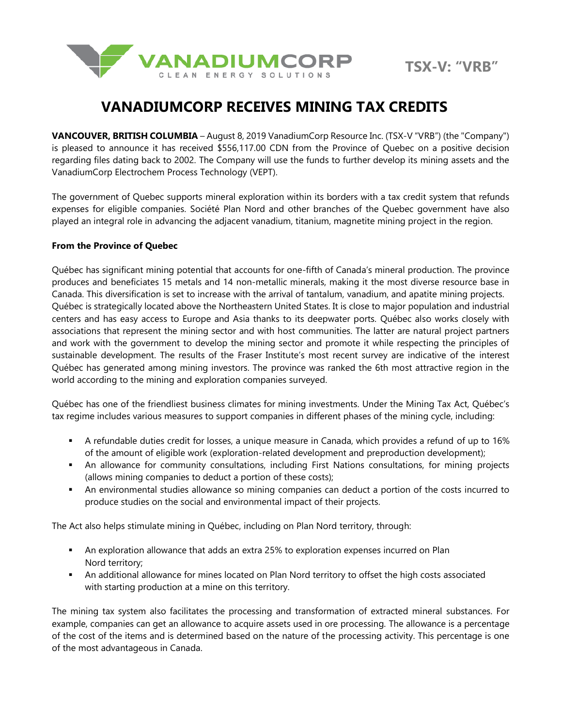



## **VANADIUMCORP RECEIVES MINING TAX CREDITS**

**VANCOUVER, BRITISH COLUMBIA** – August 8, 2019 VanadiumCorp Resource Inc. (TSX-V "VRB") (the "Company") is pleased to announce it has received \$556,117.00 CDN from the Province of Quebec on a positive decision regarding files dating back to 2002. The Company will use the funds to further develop its mining assets and the VanadiumCorp Electrochem Process Technology (VEPT).

The government of Quebec supports mineral exploration within its borders with a tax credit system that refunds expenses for eligible companies. Société Plan Nord and other branches of the Quebec government have also played an integral role in advancing the adjacent vanadium, titanium, magnetite mining project in the region.

## **From the Province of Quebec**

Québec has significant mining potential that accounts for one-fifth of Canada's mineral production. The province produces and beneficiates 15 metals and 14 non-metallic minerals, making it the most diverse resource base in Canada. This diversification is set to increase with the arrival of tantalum, vanadium, and apatite mining projects. Québec is strategically located above the Northeastern United States. It is close to major population and industrial centers and has easy access to Europe and Asia thanks to its deepwater ports. Québec also works closely with associations that represent the mining sector and with host communities. The latter are natural project partners and work with the government to develop the mining sector and promote it while respecting the principles of sustainable development. The results of the Fraser Institute's most recent survey are indicative of the interest Québec has generated among mining investors. The province was ranked the 6th most attractive region in the world according to the mining and exploration companies surveyed.

Québec has one of the friendliest business climates for mining investments. Under the Mining Tax Act, Québec's tax regime includes various measures to support companies in different phases of the mining cycle, including:

- A refundable duties credit for losses, a unique measure in Canada, which provides a refund of up to 16% of the amount of eligible work (exploration-related development and preproduction development);
- **•** An allowance for community consultations, including First Nations consultations, for mining projects (allows mining companies to deduct a portion of these costs);
- An environmental studies allowance so mining companies can deduct a portion of the costs incurred to produce studies on the social and environmental impact of their projects.

The Act also helps stimulate mining in Québec, including on Plan Nord territory, through:

- **•** An exploration allowance that adds an extra 25% to exploration expenses incurred on Plan Nord territory;
- An additional allowance for mines located on Plan Nord territory to offset the high costs associated with starting production at a mine on this territory.

The mining tax system also facilitates the processing and transformation of extracted mineral substances. For example, companies can get an allowance to acquire assets used in ore processing. The allowance is a percentage of the cost of the items and is determined based on the nature of the processing activity. This percentage is one of the most advantageous in Canada.